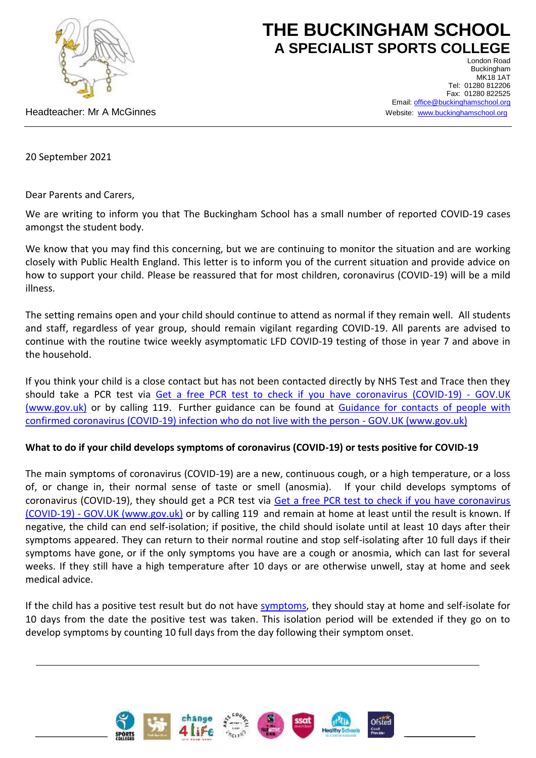

# **THE BUCKINGHAM SCHOOL A SPECIALIST SPORTS COLLEGE**

London Road Buckingham **MK18 1AT** Tel: 01280 812206 Fax: 01280 822525 Email: [office@buckinghamschool.org](mailto:office@buckinghamschool.org) Website: [www.buckinghamschool.org](http://www.buckinghamschool.org/)

Headteacher: Mr A McGinnes

20 September 2021

Dear Parents and Carers,

We are writing to inform you that The Buckingham School has a small number of reported COVID-19 cases amongst the student body.

We know that you may find this concerning, but we are continuing to monitor the situation and are working closely with Public Health England. This letter is to inform you of the current situation and provide advice on how to support your child. Please be reassured that for most children, coronavirus (COVID-19) will be a mild illness.

The setting remains open and your child should continue to attend as normal if they remain well. All students and staff, regardless of year group, should remain vigilant regarding COVID-19. All parents are advised to continue with the routine twice weekly asymptomatic LFD COVID-19 testing of those in year 7 and above in the household.

If you think your child is a close contact but has not been contacted directly by NHS Test and Trace then they should take a PCR test via [Get a free PCR test to check if you have coronavirus \(COVID-19\) -](https://www.gov.uk/get-coronavirus-test) GOV.UK [\(www.gov.uk\)](https://www.gov.uk/get-coronavirus-test) or by calling 119. Further guidance can be found at [Guidance for contacts of people with](https://www.gov.uk/government/publications/guidance-for-contacts-of-people-with-possible-or-confirmed-coronavirus-covid-19-infection-who-do-not-live-with-the-person/guidance-for-contacts-of-people-with-possible-or-confirmed-coronavirus-covid-19-infection-who-do-not-live-with-the-person#i-think-i-have-had-contact-with-someone-who-has-tested-positive-for-covid-19-but-i-have-not-been-notified-and-advised-to-self-isolate-what-should-i-do)  [confirmed coronavirus \(COVID-19\) infection who do not live with the person -](https://www.gov.uk/government/publications/guidance-for-contacts-of-people-with-possible-or-confirmed-coronavirus-covid-19-infection-who-do-not-live-with-the-person/guidance-for-contacts-of-people-with-possible-or-confirmed-coronavirus-covid-19-infection-who-do-not-live-with-the-person#i-think-i-have-had-contact-with-someone-who-has-tested-positive-for-covid-19-but-i-have-not-been-notified-and-advised-to-self-isolate-what-should-i-do) GOV.UK (www.gov.uk)

### **What to do if your child develops symptoms of coronavirus (COVID-19) or tests positive for COVID-19**

The main symptoms of coronavirus (COVID-19) are a new, continuous cough, or a high temperature, or a loss of, or change in, their normal sense of taste or smell (anosmia). If your child develops symptoms of coronavirus (COVID-19), they should get a PCR test via [Get a free PCR test to check if you have coronavirus](https://www.gov.uk/get-coronavirus-test)  (COVID-19) - [GOV.UK \(www.gov.uk\)](https://www.gov.uk/get-coronavirus-test) or by calling 119 and remain at home at least until the result is known. If negative, the child can end self-isolation; if positive, the child should isolate until at least 10 days after their symptoms appeared. They can return to their normal routine and stop self-isolating after 10 full days if their symptoms have gone, or if the only symptoms you have are a cough or anosmia, which can last for several weeks. If they still have a high temperature after 10 days or are otherwise unwell, stay at home and seek medical advice.

If the child has a positive test result but do not have [symptoms,](https://www.gov.uk/government/publications/covid-19-stay-at-home-guidance/stay-at-home-guidance-for-households-with-possible-coronavirus-covid-19-infection#symptoms) they should stay at home and self-isolate for 10 days from the date the positive test was taken. This isolation period will be extended if they go on to develop symptoms by counting 10 full days from the day following their symptom onset.



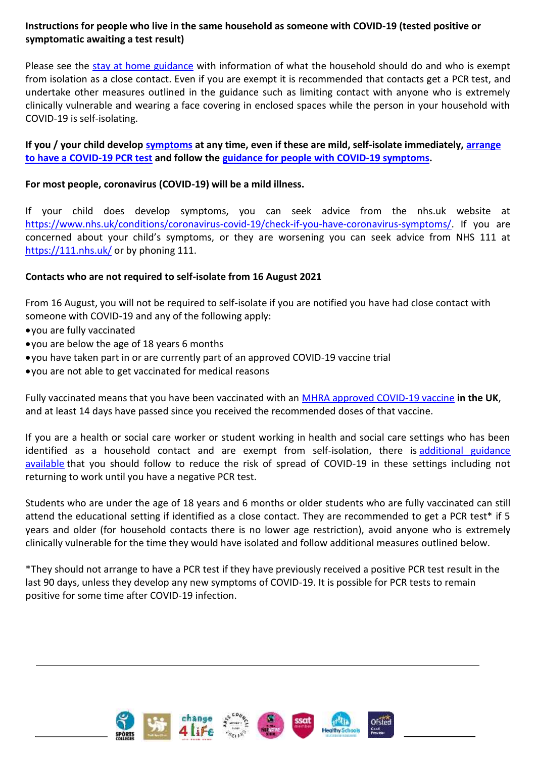## **Instructions for people who live in the same household as someone with COVID-19 (tested positive or symptomatic awaiting a test result)**

Please see the [stay at home guidance](https://www.gov.uk/government/publications/covid-19-stay-at-home-guidance) with information of what the household should do and who is exempt from isolation as a close contact. Even if you are exempt it is recommended that contacts get a PCR test, and undertake other measures outlined in the guidance such as limiting contact with anyone who is extremely clinically vulnerable and wearing a face covering in enclosed spaces while the person in your household with COVID-19 is self-isolating.

**If you / your child develop [symptoms](https://www.gov.uk/government/publications/covid-19-stay-at-home-guidance/stay-at-home-guidance-for-households-with-possible-coronavirus-covid-19-infection#symptoms) at any time, even if these are mild, self-isolate immediately, [arrange](https://www.gov.uk/get-coronavirus-test)  [to have a COVID-19](https://www.gov.uk/get-coronavirus-test) PCR test and follow the [guidance for people with COVID-19 symptoms.](https://www.gov.uk/government/publications/covid-19-stay-at-home-guidance/stay-at-home-guidance-for-households-with-possible-coronavirus-covid-19-infection#SymptomsPositiveTest)**

### **For most people, coronavirus (COVID-19) will be a mild illness.**

If your child does develop symptoms, you can seek advice from the nhs.uk website at [https://www.nhs.uk/conditions/coronavirus-covid-19/check-if-you-have-coronavirus-symptoms/.](https://www.nhs.uk/conditions/coronavirus-covid-19/check-if-you-have-coronavirus-symptoms/) If you are concerned about your child's symptoms, or they are worsening you can seek advice from NHS 111 at <https://111.nhs.uk/> or by phoning 111.

#### **Contacts who are not required to self-isolate from 16 August 2021**

From 16 August, you will not be required to self-isolate if you are notified you have had close contact with someone with COVID-19 and any of the following apply:

- you are fully vaccinated
- you are below the age of 18 years 6 months
- you have taken part in or are currently part of an approved COVID-19 vaccine trial
- you are not able to get vaccinated for medical reasons

Fully vaccinated means that you have been vaccinated with an [MHRA approved COVID-19 vaccine](https://www.nhs.uk/conditions/coronavirus-covid-19/coronavirus-vaccination/coronavirus-vaccine/) **in the UK**, and at least 14 days have passed since you received the recommended doses of that vaccine.

If you are a health or social care worker or student working in health and social care settings who has been identified as a household contact and are exempt from self-isolation, there is additional guidance [available](https://www.gov.uk/government/publications/covid-19-management-of-exposed-healthcare-workers-and-patients-in-hospital-settings/covid-19-management-of-exposed-healthcare-workers-and-patients-in-hospital-settings) that you should follow to reduce the risk of spread of COVID-19 in these settings including not returning to work until you have a negative PCR test.

Students who are under the age of 18 years and 6 months or older students who are fully vaccinated can still attend the educational setting if identified as a close contact. They are recommended to get a PCR test\* if 5 years and older (for household contacts there is no lower age restriction), avoid anyone who is extremely clinically vulnerable for the time they would have isolated and follow additional measures outlined below.

\*They should not arrange to have a PCR test if they have previously received a positive PCR test result in the last 90 days, unless they develop any new symptoms of COVID-19. It is possible for PCR tests to remain positive for some time after COVID-19 infection.